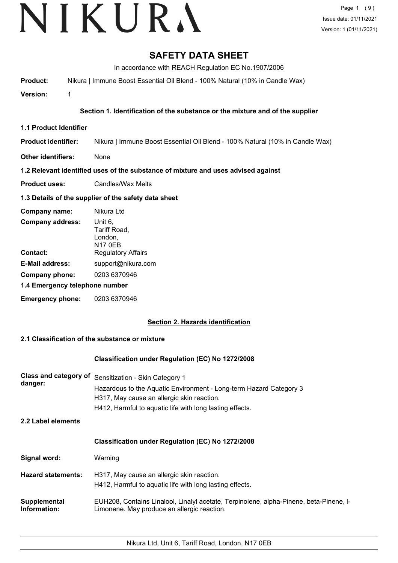# **SAFETY DATA SHEET**

In accordance with REACH Regulation EC No.1907/2006

**Product:** Nikura | Immune Boost Essential Oil Blend - 100% Natural (10% in Candle Wax)

**Version:** 1

### **Section 1. Identification of the substance or the mixture and of the supplier**

- **1.1 Product Identifier**
- **Product identifier:** Nikura | Immune Boost Essential Oil Blend - 100% Natural (10% in Candle Wax)
- **Other identifiers:** None

#### **1.2 Relevant identified uses of the substance of mixture and uses advised against**

**Product uses:** Candles/Wax Melts

### **1.3 Details of the supplier of the safety data sheet**

| Company name:                  | Nikura Ltd                                           |
|--------------------------------|------------------------------------------------------|
| <b>Company address:</b>        | Unit 6,<br>Tariff Road,<br>London,<br><b>N17 0EB</b> |
| Contact:                       | <b>Regulatory Affairs</b>                            |
| <b>E-Mail address:</b>         | support@nikura.com                                   |
| Company phone:                 | 0203 6370946                                         |
| 1.4 Emergency telephone number |                                                      |
| <b>Emergency phone:</b>        | 0203 6370946                                         |

## **Section 2. Hazards identification**

#### **2.1 Classification of the substance or mixture**

#### **Classification under Regulation (EC) No 1272/2008**

| <b>Class and category of</b><br>danger: | Sensitization - Skin Category 1<br>Hazardous to the Aquatic Environment - Long-term Hazard Category 3<br>H317, May cause an allergic skin reaction.<br>H412, Harmful to aquatic life with long lasting effects. |
|-----------------------------------------|-----------------------------------------------------------------------------------------------------------------------------------------------------------------------------------------------------------------|
| 2.2 Label elements                      |                                                                                                                                                                                                                 |
|                                         | <b>Classification under Regulation (EC) No 1272/2008</b>                                                                                                                                                        |
| Signal word:                            | Warning                                                                                                                                                                                                         |
| <b>Hazard statements:</b>               | H317, May cause an allergic skin reaction.<br>H412, Harmful to aquatic life with long lasting effects.                                                                                                          |
| Supplemental<br>Information:            | EUH208, Contains Linalool, Linalyl acetate, Terpinolene, alpha-Pinene, beta-Pinene, I-<br>Limonene. May produce an allergic reaction.                                                                           |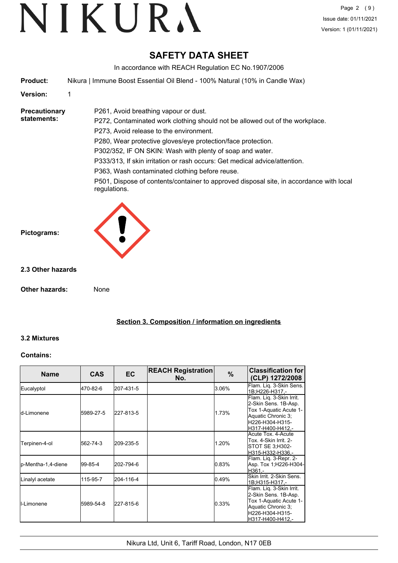# **SAFETY DATA SHEET**

In accordance with REACH Regulation EC No.1907/2006

**Product:** Nikura | Immune Boost Essential Oil Blend - 100% Natural (10% in Candle Wax)

P261, Avoid breathing vapour or dust.

**Version:** 1

**Precautionary statements:**

P272, Contaminated work clothing should not be allowed out of the workplace. P273, Avoid release to the environment. P280, Wear protective gloves/eye protection/face protection. P302/352, IF ON SKIN: Wash with plenty of soap and water. P333/313, If skin irritation or rash occurs: Get medical advice/attention.

P363, Wash contaminated clothing before reuse.

P501, Dispose of contents/container to approved disposal site, in accordance with local regulations.



### **2.3 Other hazards**

**Other hazards:** None

**Section 3. Composition / information on ingredients**

#### **3.2 Mixtures**

#### **Contains:**

| <b>Name</b>         | <b>CAS</b> | <b>EC</b> | <b>REACH Registration</b><br>No. | %     | <b>Classification for</b><br>(CLP) 1272/2008                                                                                            |
|---------------------|------------|-----------|----------------------------------|-------|-----------------------------------------------------------------------------------------------------------------------------------------|
| Eucalyptol          | 470-82-6   | 207-431-5 |                                  | 3.06% | Flam. Lig. 3-Skin Sens.<br>1B;H226-H317,-                                                                                               |
| ld-Limonene         | 5989-27-5  | 227-813-5 |                                  | 1.73% | Flam. Liq. 3-Skin Irrit.<br>2-Skin Sens. 1B-Asp.<br>Tox 1-Aquatic Acute 1-<br>Aquatic Chronic 3;<br>H226-H304-H315-<br>H317-H400-H412,- |
| Terpinen-4-ol       | 562-74-3   | 209-235-5 |                                  | 1.20% | Acute Tox. 4-Acute<br>Tox. 4-Skin Irrit. 2-<br>STOT SE 3:H302-<br>H315-H332-H336,-                                                      |
| p-Mentha-1,4-diene  | 199-85-4   | 202-794-6 |                                  | 0.83% | Flam. Liq. 3-Repr. 2-<br>Asp. Tox 1;H226-H304-<br>IH361.-                                                                               |
| Linalyl acetate     | 115-95-7   | 204-116-4 |                                  | 0.49% | Skin Irrit, 2-Skin Sens.<br>1B;H315-H317,-                                                                                              |
| <b>I</b> I-Limonene | 5989-54-8  | 227-815-6 |                                  | 0.33% | Flam. Liq. 3-Skin Irrit.<br>2-Skin Sens. 1B-Asp.<br>Tox 1-Aquatic Acute 1-<br>Aquatic Chronic 3;<br>H226-H304-H315-<br>H317-H400-H412.- |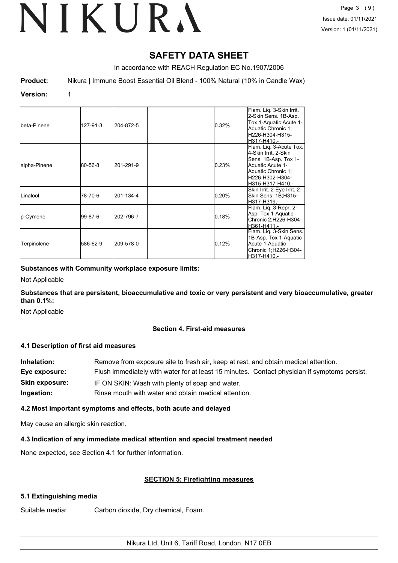# **SAFETY DATA SHEET**

In accordance with REACH Regulation EC No.1907/2006

**Product:** Nikura | Immune Boost Essential Oil Blend - 100% Natural (10% in Candle Wax)

#### **Version:** 1

| Ibeta-Pinene      | 127-91-3 | 204-872-5 | 0.32% | Flam. Lig. 3-Skin Irrit.<br>2-Skin Sens. 1B-Asp.<br>Tox 1-Aquatic Acute 1-<br>Aquatic Chronic 1;<br>H226-H304-H315-<br>lH317-H410.-                      |
|-------------------|----------|-----------|-------|----------------------------------------------------------------------------------------------------------------------------------------------------------|
| alpha-Pinene      | 80-56-8  | 201-291-9 | 0.23% | Flam. Lig. 3-Acute Tox.<br>4-Skin Irrit, 2-Skin<br>Sens. 1B-Asp. Tox 1-<br>Aquatic Acute 1-<br>Aquatic Chronic 1;<br>H226-H302-H304-<br>H315-H317-H410.- |
| <b>I</b> Linalool | 78-70-6  | 201-134-4 | 0.20% | Skin Irrit. 2-Eye Irrit. 2-<br>Skin Sens. 1B;H315-<br>lH317-H319.-                                                                                       |
| p-Cymene          | l99-87-6 | 202-796-7 | 0.18% | Flam. Lig. 3-Repr. 2-<br>Asp. Tox 1-Aquatic<br>Chronic 2;H226-H304-<br>H361-H411.-                                                                       |
| Terpinolene       | 586-62-9 | 209-578-0 | 0.12% | Flam. Lig. 3-Skin Sens.<br>1B-Asp. Tox 1-Aquatic<br>Acute 1-Aquatic<br>Chronic 1; H226-H304-<br>H317-H410.-                                              |

#### **Substances with Community workplace exposure limits:**

Not Applicable

**Substances that are persistent, bioaccumulative and toxic or very persistent and very bioaccumulative, greater than 0.1%:**

Not Applicable

#### **Section 4. First-aid measures**

#### **4.1 Description of first aid measures**

| Inhalation:           | Remove from exposure site to fresh air, keep at rest, and obtain medical attention.          |
|-----------------------|----------------------------------------------------------------------------------------------|
| Eye exposure:         | Flush immediately with water for at least 15 minutes. Contact physician if symptoms persist. |
| <b>Skin exposure:</b> | IF ON SKIN: Wash with plenty of soap and water.                                              |
| Ingestion:            | Rinse mouth with water and obtain medical attention.                                         |

#### **4.2 Most important symptoms and effects, both acute and delayed**

May cause an allergic skin reaction.

#### **4.3 Indication of any immediate medical attention and special treatment needed**

None expected, see Section 4.1 for further information.

## **SECTION 5: Firefighting measures**

## **5.1 Extinguishing media**

Suitable media: Carbon dioxide, Dry chemical, Foam.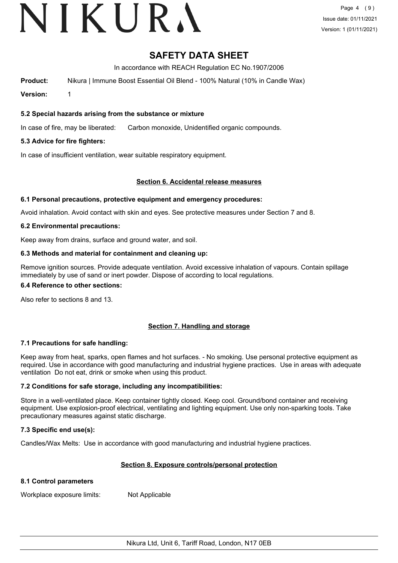# VIKURA

# **SAFETY DATA SHEET**

In accordance with REACH Regulation EC No.1907/2006

**Product:** Nikura | Immune Boost Essential Oil Blend - 100% Natural (10% in Candle Wax)

**Version:** 1

#### **5.2 Special hazards arising from the substance or mixture**

In case of fire, may be liberated: Carbon monoxide, Unidentified organic compounds.

### **5.3 Advice for fire fighters:**

In case of insufficient ventilation, wear suitable respiratory equipment.

#### **Section 6. Accidental release measures**

#### **6.1 Personal precautions, protective equipment and emergency procedures:**

Avoid inhalation. Avoid contact with skin and eyes. See protective measures under Section 7 and 8.

#### **6.2 Environmental precautions:**

Keep away from drains, surface and ground water, and soil.

#### **6.3 Methods and material for containment and cleaning up:**

Remove ignition sources. Provide adequate ventilation. Avoid excessive inhalation of vapours. Contain spillage immediately by use of sand or inert powder. Dispose of according to local regulations.

#### **6.4 Reference to other sections:**

Also refer to sections 8 and 13.

## **Section 7. Handling and storage**

#### **7.1 Precautions for safe handling:**

Keep away from heat, sparks, open flames and hot surfaces. - No smoking. Use personal protective equipment as required. Use in accordance with good manufacturing and industrial hygiene practices. Use in areas with adequate ventilation Do not eat, drink or smoke when using this product.

#### **7.2 Conditions for safe storage, including any incompatibilities:**

Store in a well-ventilated place. Keep container tightly closed. Keep cool. Ground/bond container and receiving equipment. Use explosion-proof electrical, ventilating and lighting equipment. Use only non-sparking tools. Take precautionary measures against static discharge.

#### **7.3 Specific end use(s):**

Candles/Wax Melts: Use in accordance with good manufacturing and industrial hygiene practices.

#### **Section 8. Exposure controls/personal protection**

#### **8.1 Control parameters**

Workplace exposure limits: Not Applicable

Nikura Ltd, Unit 6, Tariff Road, London, N17 0EB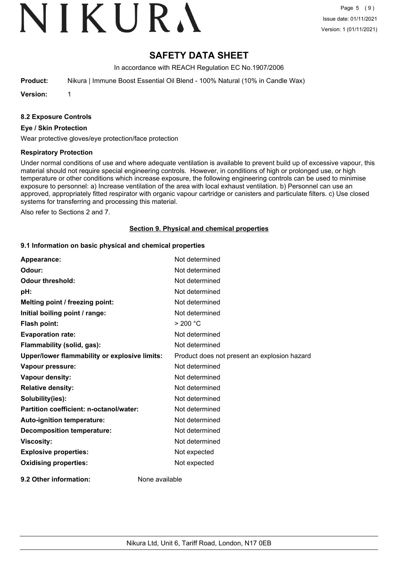# VIKURA

# **SAFETY DATA SHEET**

In accordance with REACH Regulation EC No.1907/2006

**Product:** Nikura | Immune Boost Essential Oil Blend - 100% Natural (10% in Candle Wax)

**Version:** 1

#### **8.2 Exposure Controls**

#### **Eye / Skin Protection**

Wear protective gloves/eye protection/face protection

#### **Respiratory Protection**

Under normal conditions of use and where adequate ventilation is available to prevent build up of excessive vapour, this material should not require special engineering controls. However, in conditions of high or prolonged use, or high temperature or other conditions which increase exposure, the following engineering controls can be used to minimise exposure to personnel: a) Increase ventilation of the area with local exhaust ventilation. b) Personnel can use an approved, appropriately fitted respirator with organic vapour cartridge or canisters and particulate filters. c) Use closed systems for transferring and processing this material.

Also refer to Sections 2 and 7.

#### **Section 9. Physical and chemical properties**

#### **9.1 Information on basic physical and chemical properties**

| Appearance:                                   | Not determined                               |
|-----------------------------------------------|----------------------------------------------|
| Odour:                                        | Not determined                               |
| <b>Odour threshold:</b>                       | Not determined                               |
| pH:                                           | Not determined                               |
| Melting point / freezing point:               | Not determined                               |
| Initial boiling point / range:                | Not determined                               |
| Flash point:                                  | > 200 °C                                     |
| <b>Evaporation rate:</b>                      | Not determined                               |
| Flammability (solid, gas):                    | Not determined                               |
| Upper/lower flammability or explosive limits: | Product does not present an explosion hazard |
| Vapour pressure:                              | Not determined                               |
| Vapour density:                               | Not determined                               |
| <b>Relative density:</b>                      | Not determined                               |
| Solubility(ies):                              | Not determined                               |
| Partition coefficient: n-octanol/water:       | Not determined                               |
| Auto-ignition temperature:                    | Not determined                               |
| <b>Decomposition temperature:</b>             | Not determined                               |
| <b>Viscosity:</b>                             | Not determined                               |
| <b>Explosive properties:</b>                  | Not expected                                 |
| <b>Oxidising properties:</b>                  | Not expected                                 |
| 9.2 Other information:                        | None available                               |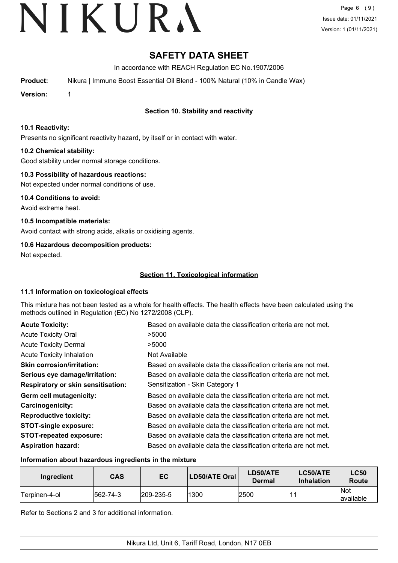# **SAFETY DATA SHEET**

In accordance with REACH Regulation EC No.1907/2006

**Product:** Nikura | Immune Boost Essential Oil Blend - 100% Natural (10% in Candle Wax)

**Version:** 1

## **Section 10. Stability and reactivity**

#### **10.1 Reactivity:**

Presents no significant reactivity hazard, by itself or in contact with water.

### **10.2 Chemical stability:**

Good stability under normal storage conditions.

### **10.3 Possibility of hazardous reactions:**

Not expected under normal conditions of use.

**10.4 Conditions to avoid:** Avoid extreme heat.

**10.5 Incompatible materials:** Avoid contact with strong acids, alkalis or oxidising agents.

## **10.6 Hazardous decomposition products:**

Not expected.

## **Section 11. Toxicological information**

#### **11.1 Information on toxicological effects**

This mixture has not been tested as a whole for health effects. The health effects have been calculated using the methods outlined in Regulation (EC) No 1272/2008 (CLP).

| <b>Acute Toxicity:</b>                    | Based on available data the classification criteria are not met. |
|-------------------------------------------|------------------------------------------------------------------|
| <b>Acute Toxicity Oral</b>                | >5000                                                            |
| <b>Acute Toxicity Dermal</b>              | >5000                                                            |
| <b>Acute Toxicity Inhalation</b>          | Not Available                                                    |
| <b>Skin corrosion/irritation:</b>         | Based on available data the classification criteria are not met. |
| Serious eye damage/irritation:            | Based on available data the classification criteria are not met. |
| <b>Respiratory or skin sensitisation:</b> | Sensitization - Skin Category 1                                  |
| Germ cell mutagenicity:                   | Based on available data the classification criteria are not met. |
| <b>Carcinogenicity:</b>                   | Based on available data the classification criteria are not met. |
| <b>Reproductive toxicity:</b>             | Based on available data the classification criteria are not met. |
| <b>STOT-single exposure:</b>              | Based on available data the classification criteria are not met. |
| <b>STOT-repeated exposure:</b>            | Based on available data the classification criteria are not met. |
| <b>Aspiration hazard:</b>                 | Based on available data the classification criteria are not met. |

#### **Information about hazardous ingredients in the mixture**

| Ingredient           | <b>CAS</b> | EC                | LD50/ATE Oral | LD50/ATE<br>Dermal | LC50/ATE<br><b>Inhalation</b> | <b>LC50</b><br>Route     |
|----------------------|------------|-------------------|---------------|--------------------|-------------------------------|--------------------------|
| <b>Terpinen-4-ol</b> | 562-74-3   | $ 209 - 235 - 5 $ | 1300          | 2500               |                               | <b>Not</b><br>lavailable |

Refer to Sections 2 and 3 for additional information.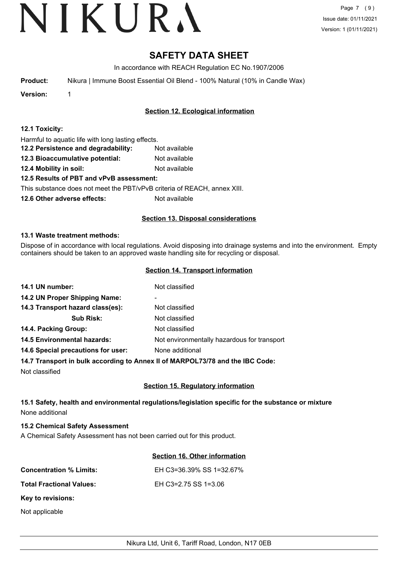# **SAFETY DATA SHEET**

In accordance with REACH Regulation EC No.1907/2006

**Product:** Nikura | Immune Boost Essential Oil Blend - 100% Natural (10% in Candle Wax)

**Version:** 1

## **Section 12. Ecological information**

| 12.1 Toxicity: |  |
|----------------|--|
|----------------|--|

Harmful to aquatic life with long lasting effects.

- **12.2 Persistence and degradability:** Not available
- **12.3 Bioaccumulative potential:** Not available
- **12.4 Mobility in soil:** Not available

## **12.5 Results of PBT and vPvB assessment:**

This substance does not meet the PBT/vPvB criteria of REACH, annex XIII.

**12.6 Other adverse effects:** Not available

### **Section 13. Disposal considerations**

#### **13.1 Waste treatment methods:**

Dispose of in accordance with local regulations. Avoid disposing into drainage systems and into the environment. Empty containers should be taken to an approved waste handling site for recycling or disposal.

#### **Section 14. Transport information**

| 14.1 UN number:                    | Not classified                              |
|------------------------------------|---------------------------------------------|
| 14.2 UN Proper Shipping Name:      | ۰                                           |
| 14.3 Transport hazard class(es):   | Not classified                              |
| <b>Sub Risk:</b>                   | Not classified                              |
| 14.4. Packing Group:               | Not classified                              |
| <b>14.5 Environmental hazards:</b> | Not environmentally hazardous for transport |
| 14.6 Special precautions for user: | None additional                             |
|                                    |                                             |

#### **14.7 Transport in bulk according to Annex II of MARPOL73/78 and the IBC Code:**

Not classified

## **Section 15. Regulatory information**

### **15.1 Safety, health and environmental regulations/legislation specific for the substance or mixture** None additional

#### **15.2 Chemical Safety Assessment**

A Chemical Safety Assessment has not been carried out for this product.

#### **Section 16. Other information**

| <b>Concentration % Limits:</b>  | EH C3=36.39% SS 1=32.67% |
|---------------------------------|--------------------------|
| <b>Total Fractional Values:</b> | EH C3=2.75 SS 1=3.06     |
| Key to revisions:               |                          |

Not applicable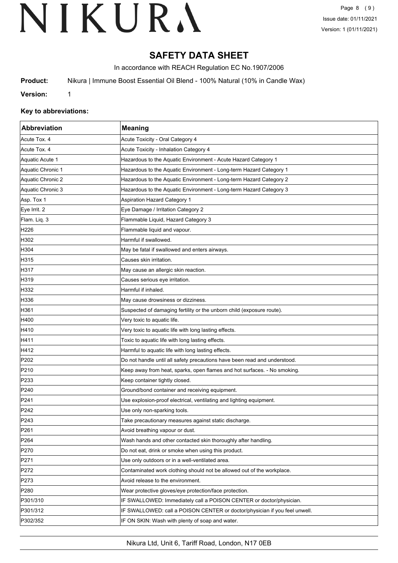# **SAFETY DATA SHEET**

In accordance with REACH Regulation EC No.1907/2006

**Product:** Nikura | Immune Boost Essential Oil Blend - 100% Natural (10% in Candle Wax)

**Version:** 1

#### **Key to abbreviations:**

| Abbreviation      | <b>Meaning</b>                                                             |
|-------------------|----------------------------------------------------------------------------|
| Acute Tox. 4      | Acute Toxicity - Oral Category 4                                           |
| Acute Tox. 4      | Acute Toxicity - Inhalation Category 4                                     |
| Aquatic Acute 1   | Hazardous to the Aquatic Environment - Acute Hazard Category 1             |
| Aquatic Chronic 1 | Hazardous to the Aquatic Environment - Long-term Hazard Category 1         |
| Aquatic Chronic 2 | Hazardous to the Aquatic Environment - Long-term Hazard Category 2         |
| Aquatic Chronic 3 | Hazardous to the Aquatic Environment - Long-term Hazard Category 3         |
| Asp. Tox 1        | <b>Aspiration Hazard Category 1</b>                                        |
| Eye Irrit. 2      | Eye Damage / Irritation Category 2                                         |
| Flam. Liq. 3      | Flammable Liquid, Hazard Category 3                                        |
| H <sub>226</sub>  | Flammable liquid and vapour.                                               |
| H302              | Harmful if swallowed.                                                      |
| H304              | May be fatal if swallowed and enters airways.                              |
| H315              | Causes skin irritation.                                                    |
| H317              | May cause an allergic skin reaction.                                       |
| H319              | Causes serious eye irritation.                                             |
| H332              | Harmful if inhaled.                                                        |
| H336              | May cause drowsiness or dizziness.                                         |
| H361              | Suspected of damaging fertility or the unborn child (exposure route).      |
| H400              | Very toxic to aquatic life.                                                |
| H410              | Very toxic to aquatic life with long lasting effects.                      |
| H411              | Toxic to aquatic life with long lasting effects.                           |
| H412              | Harmful to aquatic life with long lasting effects.                         |
| P <sub>202</sub>  | Do not handle until all safety precautions have been read and understood.  |
| P210              | Keep away from heat, sparks, open flames and hot surfaces. - No smoking.   |
| P233              | Keep container tightly closed.                                             |
| P240              | Ground/bond container and receiving equipment.                             |
| P241              | Use explosion-proof electrical, ventilating and lighting equipment.        |
| P242              | Use only non-sparking tools.                                               |
| P243              | Take precautionary measures against static discharge.                      |
| P261              | Avoid breathing vapour or dust.                                            |
| P <sub>264</sub>  | Wash hands and other contacted skin thoroughly after handling.             |
| P270              | Do not eat, drink or smoke when using this product.                        |
| P271              | Use only outdoors or in a well-ventilated area.                            |
| P272              | Contaminated work clothing should not be allowed out of the workplace.     |
| P273              | Avoid release to the environment.                                          |
| P280              | Wear protective gloves/eye protection/face protection.                     |
| P301/310          | IF SWALLOWED: Immediately call a POISON CENTER or doctor/physician.        |
| P301/312          | IF SWALLOWED: call a POISON CENTER or doctor/physician if you feel unwell. |
| P302/352          | IF ON SKIN: Wash with plenty of soap and water.                            |